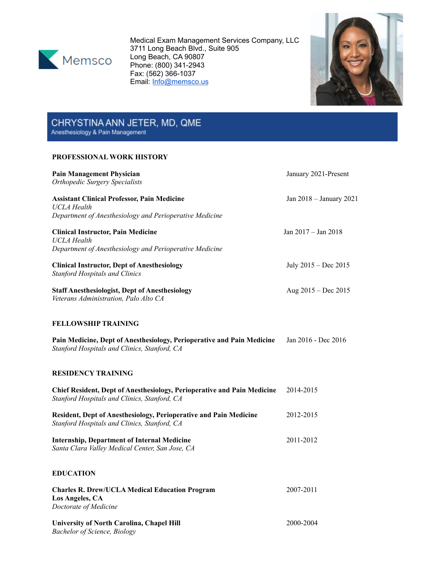

Medical Exam Management Services Company, LLC 3711 Long Beach Blvd., Suite 905 Long Beach, CA 90807 Phone: (800) 341-2943 Fax: (562) 366-1037 Email: [Info@memsco.us](mailto:Info@memsco.us)



# CHRYSTINA ANN JETER, MD, QME<br>Anesthesiology & Pain Management

## **PROFESSIONAL WORK HISTORY**

| <b>Pain Management Physician</b>                                                                                        | January 2021-Present    |
|-------------------------------------------------------------------------------------------------------------------------|-------------------------|
| <b>Orthopedic Surgery Specialists</b>                                                                                   |                         |
| <b>Assistant Clinical Professor, Pain Medicine</b><br>UCLA Health                                                       | Jan 2018 - January 2021 |
| Department of Anesthesiology and Perioperative Medicine                                                                 |                         |
| <b>Clinical Instructor, Pain Medicine</b><br><b>UCLA</b> Health                                                         | Jan 2017 - Jan 2018     |
| Department of Anesthesiology and Perioperative Medicine                                                                 |                         |
| <b>Clinical Instructor, Dept of Anesthesiology</b><br><b>Stanford Hospitals and Clinics</b>                             | July 2015 – Dec 2015    |
| <b>Staff Anesthesiologist, Dept of Anesthesiology</b><br>Veterans Administration, Palo Alto CA                          | Aug $2015 - Dec 2015$   |
| <b>FELLOWSHIP TRAINING</b>                                                                                              |                         |
| Pain Medicine, Dept of Anesthesiology, Perioperative and Pain Medicine<br>Stanford Hospitals and Clinics, Stanford, CA  | Jan 2016 - Dec 2016     |
| <b>RESIDENCY TRAINING</b>                                                                                               |                         |
| Chief Resident, Dept of Anesthesiology, Perioperative and Pain Medicine<br>Stanford Hospitals and Clinics, Stanford, CA | 2014-2015               |
| Resident, Dept of Anesthesiology, Perioperative and Pain Medicine<br>Stanford Hospitals and Clinics, Stanford, CA       | 2012-2015               |
| <b>Internship, Department of Internal Medicine</b><br>Santa Clara Valley Medical Center, San Jose, CA                   | 2011-2012               |
| <b>EDUCATION</b>                                                                                                        |                         |
| <b>Charles R. Drew/UCLA Medical Education Program</b><br>Los Angeles, CA<br>Doctorate of Medicine                       | 2007-2011               |
| University of North Carolina, Chapel Hill<br><b>Bachelor of Science</b> , Biology                                       | 2000-2004               |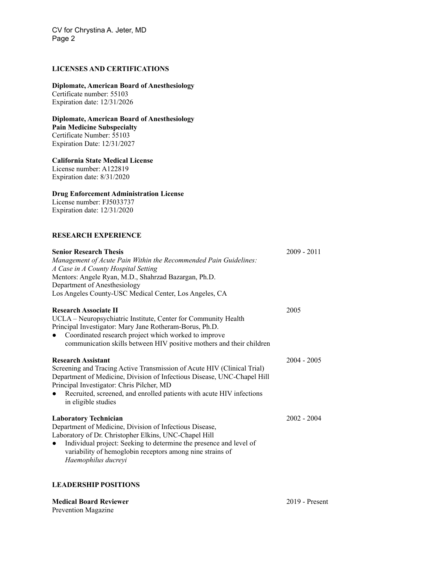# **LICENSES AND CERTIFICATIONS**

#### **Diplomate, American Board of Anesthesiology**

Certificate number: 55103 Expiration date: 12/31/2026

#### **Diplomate, American Board of Anesthesiology**

**Pain Medicine Subspecialty** Certificate Number: 55103 Expiration Date: 12/31/2027

#### **California State Medical License**

License number: A122819 Expiration date: 8/31/2020

#### **Drug Enforcement Administration License**

License number: FJ5033737 Expiration date: 12/31/2020

# **RESEARCH EXPERIENCE**

| <b>Senior Research Thesis</b><br>Management of Acute Pain Within the Recommended Pain Guidelines:<br>A Case in A County Hospital Setting<br>Mentors: Angele Ryan, M.D., Shahrzad Bazargan, Ph.D.<br>Department of Anesthesiology<br>Los Angeles County-USC Medical Center, Los Angeles, CA                                  | $2009 - 2011$ |
|-----------------------------------------------------------------------------------------------------------------------------------------------------------------------------------------------------------------------------------------------------------------------------------------------------------------------------|---------------|
| <b>Research Associate II</b><br>UCLA – Neuropsychiatric Institute, Center for Community Health<br>Principal Investigator: Mary Jane Rotheram-Borus, Ph.D.<br>Coordinated research project which worked to improve<br>communication skills between HIV positive mothers and their children                                   | 2005          |
| <b>Research Assistant</b><br>Screening and Tracing Active Transmission of Acute HIV (Clinical Trial)<br>Department of Medicine, Division of Infectious Disease, UNC-Chapel Hill<br>Principal Investigator: Chris Pilcher, MD<br>Recruited, screened, and enrolled patients with acute HIV infections<br>in eligible studies | $2004 - 2005$ |
| <b>Laboratory Technician</b><br>Department of Medicine, Division of Infectious Disease,<br>Laboratory of Dr. Christopher Elkins, UNC-Chapel Hill<br>Individual project: Seeking to determine the presence and level of<br>variability of hemoglobin receptors among nine strains of<br>Haemophilus ducreyi                  | $2002 - 2004$ |

### **LEADERSHIP POSITIONS**

**Medical Board Reviewer** 2019 - Present Prevention Magazine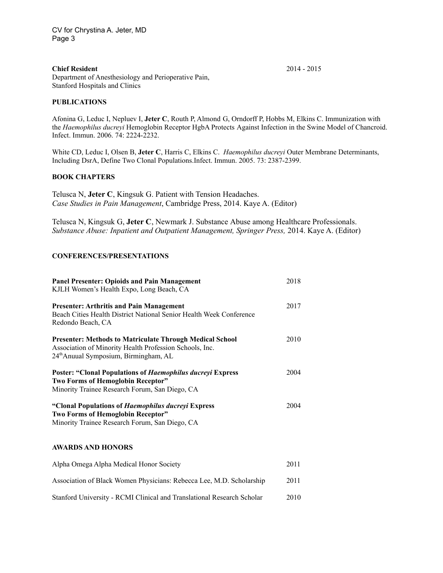#### **Chief Resident** 2014 - 2015

Department of Anesthesiology and Perioperative Pain, Stanford Hospitals and Clinics

#### **PUBLICATIONS**

Afonina G, Leduc I, Nepluev I, **Jeter C**, Routh P, Almond G, Orndorff P, Hobbs M, Elkins C. Immunization with the *Haemophilus ducreyi* Hemoglobin Receptor HgbA Protects Against Infection in the Swine Model of Chancroid. Infect. Immun. 2006. 74: 2224-2232.

White CD, Leduc I, Olsen B, **Jeter C**, Harris C, Elkins C. *Haemophilus ducreyi* Outer Membrane Determinants, Including DsrA, Define Two Clonal Populations.Infect. Immun. 2005. 73: 2387-2399.

#### **BOOK CHAPTERS**

Telusca N, **Jeter C**, Kingsuk G. Patient with Tension Headaches. *Case Studies in Pain Management*, Cambridge Press, 2014. Kaye A. (Editor)

Telusca N, Kingsuk G, **Jeter C**, Newmark J. Substance Abuse among Healthcare Professionals. *Substance Abuse: Inpatient and Outpatient Management, Springer Press,* 2014. Kaye A. (Editor)

#### **CONFERENCES/PRESENTATIONS**

| <b>Panel Presenter: Opioids and Pain Management</b><br>KJLH Women's Health Expo, Long Beach, CA                                                                                 | 2018 |
|---------------------------------------------------------------------------------------------------------------------------------------------------------------------------------|------|
| <b>Presenter: Arthritis and Pain Management</b><br>Beach Cities Health District National Senior Health Week Conference<br>Redondo Beach, CA                                     | 2017 |
| <b>Presenter: Methods to Matriculate Through Medical School</b><br>Association of Minority Health Profession Schools, Inc.<br>24 <sup>th</sup> Anuual Symposium, Birmingham, AL | 2010 |
| <b>Poster: "Clonal Populations of Haemophilus ducreyi Express</b><br>Two Forms of Hemoglobin Receptor"<br>Minority Trainee Research Forum, San Diego, CA                        | 2004 |
| "Clonal Populations of Haemophilus ducreyi Express<br>Two Forms of Hemoglobin Receptor"<br>Minority Trainee Research Forum, San Diego, CA                                       | 2004 |

### **AWARDS AND HONORS**

| Alpha Omega Alpha Medical Honor Society                                | 2011 |
|------------------------------------------------------------------------|------|
| Association of Black Women Physicians: Rebecca Lee, M.D. Scholarship   | 2011 |
| Stanford University - RCMI Clinical and Translational Research Scholar | 2010 |